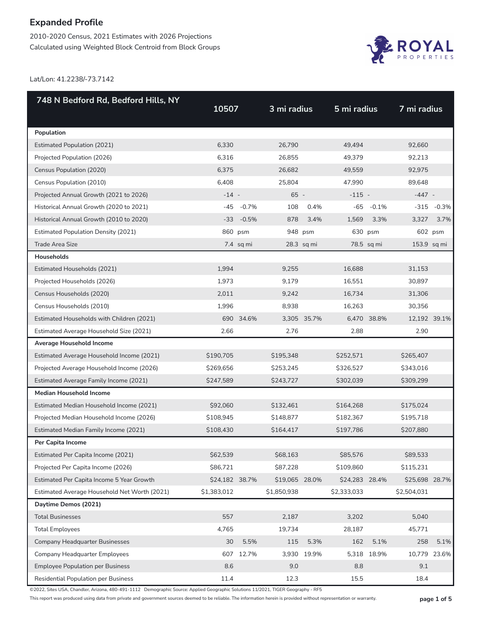2010-2020 Census, 2021 Estimates with 2026 Projections Calculated using Weighted Block Centroid from Block Groups



Lat/Lon: 41.2238/-73.7142

| 748 N Bedford Rd, Bedford Hills, NY          |                |              |                |             |                |             |                |               |
|----------------------------------------------|----------------|--------------|----------------|-------------|----------------|-------------|----------------|---------------|
|                                              | 10507          |              | 3 mi radius    |             | 5 mi radius    |             | 7 mi radius    |               |
| Population                                   |                |              |                |             |                |             |                |               |
| <b>Estimated Population (2021)</b>           | 6,330          |              | 26,790         |             | 49,494         |             | 92,660         |               |
| Projected Population (2026)                  | 6,316          |              | 26,855         |             | 49,379         |             | 92,213         |               |
| Census Population (2020)                     | 6,375          |              | 26,682         |             | 49,559         |             | 92,975         |               |
| Census Population (2010)                     | 6,408          |              | 25,804         |             | 47,990         |             | 89,648         |               |
| Projected Annual Growth (2021 to 2026)       | $-14 -$        |              | 65 -           |             | $-115 -$       |             | $-447 -$       |               |
| Historical Annual Growth (2020 to 2021)      | -45            | $-0.7\%$     | 108            | 0.4%        | $-65$          | $-0.1%$     |                | $-315 - 0.3%$ |
| Historical Annual Growth (2010 to 2020)      |                | $-33 - 0.5%$ | 878            | 3.4%        | 1,569          | 3.3%        | 3,327          | 3.7%          |
| <b>Estimated Population Density (2021)</b>   |                | 860 psm      |                | 948 psm     |                | 630 psm     |                | 602 psm       |
| <b>Trade Area Size</b>                       |                | 7.4 sq mi    |                | 28.3 sq mi  |                | 78.5 sq mi  | 153.9 sq mi    |               |
| Households                                   |                |              |                |             |                |             |                |               |
| Estimated Households (2021)                  | 1,994          |              | 9,255          |             | 16.688         |             | 31,153         |               |
| Projected Households (2026)                  | 1,973          |              | 9,179          |             | 16,551         |             | 30,897         |               |
| Census Households (2020)                     | 2,011          |              | 9,242          |             | 16,734         |             | 31,306         |               |
| Census Households (2010)                     | 1,996          |              | 8,938          |             | 16,263         |             | 30,356         |               |
| Estimated Households with Children (2021)    |                | 690 34.6%    |                | 3,305 35.7% |                | 6,470 38.8% | 12,192 39.1%   |               |
| Estimated Average Household Size (2021)      | 2.66           |              | 2.76           |             | 2.88           |             | 2.90           |               |
| Average Household Income                     |                |              |                |             |                |             |                |               |
| Estimated Average Household Income (2021)    | \$190,705      |              | \$195,348      |             | \$252,571      |             | \$265,407      |               |
| Projected Average Household Income (2026)    | \$269,656      |              | \$253,245      |             | \$326,527      |             | \$343,016      |               |
| Estimated Average Family Income (2021)       | \$247,589      |              | \$243,727      |             | \$302,039      |             | \$309,299      |               |
| <b>Median Household Income</b>               |                |              |                |             |                |             |                |               |
| Estimated Median Household Income (2021)     | \$92,060       |              | \$132,461      |             | \$164,268      |             | \$175,024      |               |
| Projected Median Household Income (2026)     | \$108,945      |              | \$148,877      |             | \$182,367      |             | \$195,718      |               |
| Estimated Median Family Income (2021)        | \$108,430      |              | \$164,417      |             | \$197,786      |             | \$207,880      |               |
| Per Capita Income                            |                |              |                |             |                |             |                |               |
| Estimated Per Capita Income (2021)           | \$62,539       |              | \$68,163       |             | \$85,576       |             | \$89,533       |               |
| Projected Per Capita Income (2026)           | \$86,721       |              | \$87,228       |             | \$109,860      |             | \$115,231      |               |
| Estimated Per Capita Income 5 Year Growth    | \$24,182 38.7% |              | \$19,065 28.0% |             | \$24,283 28.4% |             | \$25,698 28.7% |               |
| Estimated Average Household Net Worth (2021) | \$1,383,012    |              | \$1,850,938    |             | \$2,333,033    |             | \$2,504,031    |               |
| Daytime Demos (2021)                         |                |              |                |             |                |             |                |               |
| <b>Total Businesses</b>                      | 557            |              | 2,187          |             | 3,202          |             | 5,040          |               |
| <b>Total Employees</b>                       | 4,765          |              | 19,734         |             | 28,187         |             | 45,771         |               |
| <b>Company Headquarter Businesses</b>        | 30             | 5.5%         | 115            | 5.3%        | 162            | 5.1%        | 258            | 5.1%          |
| <b>Company Headquarter Employees</b>         | 607            | 12.7%        |                | 3,930 19.9% | 5,318          | 18.9%       | 10,779 23.6%   |               |
| <b>Employee Population per Business</b>      | 8.6            |              | 9.0            |             | 8.8            |             | 9.1            |               |
| Residential Population per Business          | 11.4           |              | 12.3           |             | 15.5           |             | 18.4           |               |

©2022, Sites USA, Chandler, Arizona, 480-491-1112 Demographic Source: Applied Geographic Solutions 11/2021, TIGER Geography - RF5

This report was produced using data from private and government sources deemed to be reliable. The information herein is provided without representation or warranty. **page 1 of 5**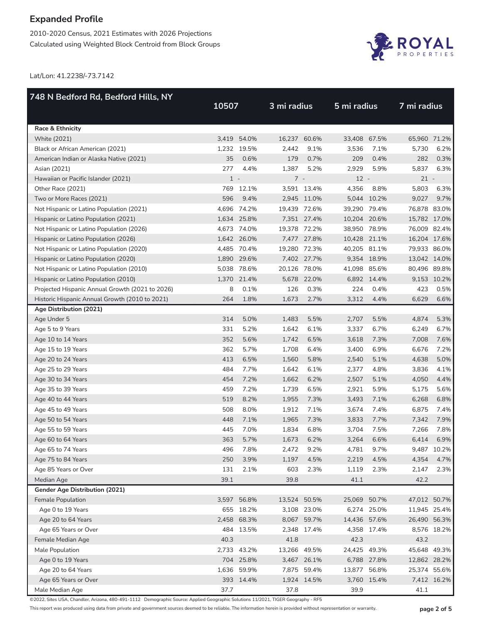2010-2020 Census, 2021 Estimates with 2026 Projections Calculated using Weighted Block Centroid from Block Groups



Lat/Lon: 41.2238/-73.7142

| 748 N Bedford Rd, Bedford Hills, NY             |       |             |              |             |              |              |              |              |  |  |
|-------------------------------------------------|-------|-------------|--------------|-------------|--------------|--------------|--------------|--------------|--|--|
|                                                 | 10507 |             | 3 mi radius  |             | 5 mi radius  |              | 7 mi radius  |              |  |  |
| Race & Ethnicity                                |       |             |              |             |              |              |              |              |  |  |
| <b>White (2021)</b>                             |       | 3,419 54.0% | 16,237 60.6% |             | 33,408 67.5% |              | 65,960 71.2% |              |  |  |
| Black or African American (2021)                |       | 1,232 19.5% | 2,442        | 9.1%        | 3,536        | 7.1%         | 5,730        | 6.2%         |  |  |
| American Indian or Alaska Native (2021)         | 35    | 0.6%        | 179          | 0.7%        | 209          | 0.4%         | 282          | 0.3%         |  |  |
| Asian (2021)                                    | 277   | 4.4%        | 1,387        | 5.2%        | 2,929        | 5.9%         | 5,837        | 6.3%         |  |  |
| Hawaiian or Pacific Islander (2021)             | $1 -$ |             | $7 -$        |             | $12 -$       |              | $21 -$       |              |  |  |
| Other Race (2021)                               |       | 769 12.1%   |              | 3,591 13.4% | 4,356        | 8.8%         | 5,803        | 6.3%         |  |  |
| Two or More Races (2021)                        | 596   | 9.4%        |              | 2,945 11.0% |              | 5,044 10.2%  | 9,027        | 9.7%         |  |  |
| Not Hispanic or Latino Population (2021)        |       | 4,696 74.2% | 19,439 72.6% |             | 39,290 79.4% |              | 76,878 83.0% |              |  |  |
| Hispanic or Latino Population (2021)            |       | 1,634 25.8% |              | 7,351 27.4% | 10,204 20.6% |              | 15,782 17.0% |              |  |  |
| Not Hispanic or Latino Population (2026)        |       | 4,673 74.0% | 19,378 72.2% |             |              | 38,950 78.9% | 76,009 82.4% |              |  |  |
| Hispanic or Latino Population (2026)            |       | 1,642 26.0% |              | 7,477 27.8% | 10,428 21.1% |              | 16,204 17.6% |              |  |  |
| Not Hispanic or Latino Population (2020)        |       | 4,485 70.4% | 19,280 72.3% |             | 40,205 81.1% |              | 79,933 86.0% |              |  |  |
| Hispanic or Latino Population (2020)            |       | 1,890 29.6% |              | 7,402 27.7% |              | 9,354 18.9%  | 13,042 14.0% |              |  |  |
| Not Hispanic or Latino Population (2010)        |       | 5,038 78.6% | 20,126 78.0% |             | 41,098 85.6% |              | 80,496 89.8% |              |  |  |
| Hispanic or Latino Population (2010)            |       | 1,370 21.4% |              | 5,678 22.0% |              | 6,892 14.4%  |              | 9,153 10.2%  |  |  |
| Projected Hispanic Annual Growth (2021 to 2026) | 8     | 0.1%        | 126          | 0.3%        | 224          | 0.4%         | 423          | 0.5%         |  |  |
| Historic Hispanic Annual Growth (2010 to 2021)  | 264   | 1.8%        | 1,673        | 2.7%        | 3,312        | 4.4%         | 6,629        | 6.6%         |  |  |
| Age Distribution (2021)                         |       |             |              |             |              |              |              |              |  |  |
| Age Under 5                                     | 314   | 5.0%        | 1,483        | 5.5%        | 2,707        | 5.5%         | 4,874        | 5.3%         |  |  |
| Age 5 to 9 Years                                | 331   | 5.2%        | 1,642        | 6.1%        | 3,337        | 6.7%         | 6,249        | 6.7%         |  |  |
| Age 10 to 14 Years                              | 352   | 5.6%        | 1,742        | 6.5%        | 3,618        | 7.3%         | 7,008        | 7.6%         |  |  |
| Age 15 to 19 Years                              | 362   | 5.7%        | 1,708        | 6.4%        | 3,400        | 6.9%         | 6,676        | 7.2%         |  |  |
| Age 20 to 24 Years                              | 413   | 6.5%        | 1,560        | 5.8%        | 2,540        | 5.1%         | 4,638        | 5.0%         |  |  |
| Age 25 to 29 Years                              | 484   | 7.7%        | 1,642        | 6.1%        | 2,377        | 4.8%         | 3,836        | 4.1%         |  |  |
| Age 30 to 34 Years                              | 454   | 7.2%        | 1,662        | 6.2%        | 2,507        | 5.1%         | 4,050        | 4.4%         |  |  |
| Age 35 to 39 Years                              | 459   | 7.2%        | 1,739        | 6.5%        | 2,921        | 5.9%         | 5,175        | 5.6%         |  |  |
| Age 40 to 44 Years                              | 519   | 8.2%        | 1,955        | 7.3%        | 3,493        | 7.1%         | 6,268        | 6.8%         |  |  |
| Age 45 to 49 Years                              | 508   | 8.0%        | 1,912        | 7.1%        | 3,674        | 7.4%         | 6,875        | 7.4%         |  |  |
| Age 50 to 54 Years                              | 448   | 7.1%        | 1,965        | 7.3%        | 3,833        | 7.7%         | 7,342        | 7.9%         |  |  |
| Age 55 to 59 Years                              | 445   | 7.0%        | 1,834        | 6.8%        | 3,704        | 7.5%         | 7,266        | 7.8%         |  |  |
| Age 60 to 64 Years                              | 363   | 5.7%        | 1,673        | 6.2%        | 3,264        | 6.6%         | 6,414        | 6.9%         |  |  |
| Age 65 to 74 Years                              | 496   | 7.8%        | 2,472        | 9.2%        | 4,781        | 9.7%         |              | 9,487 10.2%  |  |  |
| Age 75 to 84 Years                              | 250   | 3.9%        | 1,197        | 4.5%        | 2,219        | 4.5%         | 4,354        | 4.7%         |  |  |
| Age 85 Years or Over                            | 131   | 2.1%        | 603          | 2.3%        | 1,119        | 2.3%         | 2,147        | 2.3%         |  |  |
| Median Age                                      | 39.1  |             | 39.8         |             | 41.1         |              | 42.2         |              |  |  |
| <b>Gender Age Distribution (2021)</b>           |       |             |              |             |              |              |              |              |  |  |
| Female Population                               |       | 3,597 56.8% | 13,524 50.5% |             | 25,069 50.7% |              | 47,012 50.7% |              |  |  |
| Age 0 to 19 Years                               |       | 655 18.2%   |              | 3,108 23.0% |              | 6,274 25.0%  |              | 11,945 25.4% |  |  |
| Age 20 to 64 Years                              |       | 2,458 68.3% |              | 8,067 59.7% | 14,436 57.6% |              |              | 26,490 56.3% |  |  |
| Age 65 Years or Over                            |       | 484 13.5%   |              | 2,348 17.4% |              | 4,358 17.4%  |              | 8,576 18.2%  |  |  |
| Female Median Age                               | 40.3  |             | 41.8         |             | 42.3         |              | 43.2         |              |  |  |
| Male Population                                 |       | 2,733 43.2% | 13,266 49.5% |             | 24,425 49.3% |              | 45,648 49.3% |              |  |  |
| Age 0 to 19 Years                               |       | 704 25.8%   |              | 3,467 26.1% |              | 6,788 27.8%  | 12,862 28.2% |              |  |  |
| Age 20 to 64 Years                              |       | 1,636 59.9% |              | 7,875 59.4% | 13,877 56.8% |              | 25,374 55.6% |              |  |  |
| Age 65 Years or Over                            |       | 393 14.4%   |              | 1,924 14.5% |              | 3,760 15.4%  |              | 7,412 16.2%  |  |  |
| Male Median Age                                 | 37.7  |             | 37.8         |             | 39.9         |              | 41.1         |              |  |  |

©2022, Sites USA, Chandler, Arizona, 480-491-1112 Demographic Source: Applied Geographic Solutions 11/2021, TIGER Geography - RF5

This report was produced using data from private and government sources deemed to be reliable. The information herein is provided without representation or warranty. **page 2 of 5**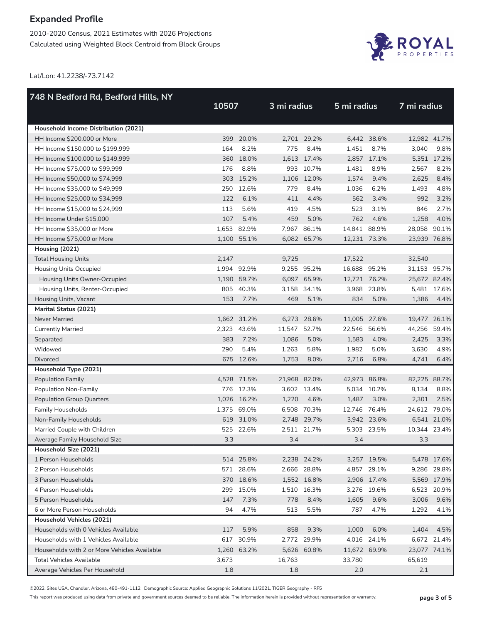2010-2020 Census, 2021 Estimates with 2026 Projections Calculated using Weighted Block Centroid from Block Groups



Lat/Lon: 41.2238/-73.7142

| 748 N Bedford Rd, Bedford Hills, NY          | 10507 |             | 3 mi radius  |             | 5 mi radius  |             | 7 mi radius  |             |
|----------------------------------------------|-------|-------------|--------------|-------------|--------------|-------------|--------------|-------------|
|                                              |       |             |              |             |              |             |              |             |
| Household Income Distribution (2021)         |       |             |              |             |              |             |              |             |
| HH Income \$200,000 or More                  |       | 399 20.0%   |              | 2,701 29.2% |              | 6,442 38.6% | 12,982 41.7% |             |
| HH Income \$150,000 to \$199,999             | 164   | 8.2%        | 775          | 8.4%        | 1,451        | 8.7%        | 3,040        | 9.8%        |
| HH Income \$100,000 to \$149,999             |       | 360 18.0%   |              | 1,613 17.4% |              | 2,857 17.1% |              | 5,351 17.2% |
| HH Income \$75,000 to \$99,999               | 176   | 8.8%        |              | 993 10.7%   | 1,481        | 8.9%        | 2,567        | 8.2%        |
| HH Income \$50,000 to \$74,999               |       | 303 15.2%   |              | 1,106 12.0% | 1,574        | 9.4%        | 2,625        | 8.4%        |
| HH Income \$35,000 to \$49,999               |       | 250 12.6%   | 779          | 8.4%        | 1,036        | 6.2%        | 1,493        | 4.8%        |
| HH Income \$25,000 to \$34,999               | 122   | 6.1%        | 411          | 4.4%        | 562          | 3.4%        | 992          | 3.2%        |
| HH Income \$15,000 to \$24,999               | 113   | 5.6%        | 419          | 4.5%        | 523          | 3.1%        | 846          | 2.7%        |
| HH Income Under \$15,000                     | 107   | 5.4%        | 459          | 5.0%        | 762          | 4.6%        | 1,258        | 4.0%        |
| HH Income \$35,000 or More                   |       | 1,653 82.9% |              | 7,967 86.1% | 14,841 88.9% |             | 28,058 90.1% |             |
| HH Income \$75,000 or More                   |       | 1,100 55.1% |              | 6,082 65.7% | 12,231 73.3% |             | 23,939 76.8% |             |
| Housing (2021)                               |       |             |              |             |              |             |              |             |
| <b>Total Housing Units</b>                   | 2,147 |             | 9,725        |             | 17.522       |             | 32,540       |             |
| <b>Housing Units Occupied</b>                |       | 1,994 92.9% |              | 9,255 95.2% | 16,688 95.2% |             | 31,153 95.7% |             |
| Housing Units Owner-Occupied                 |       | 1,190 59.7% |              | 6,097 65.9% | 12,721 76.2% |             | 25,672 82.4% |             |
| Housing Units, Renter-Occupied               |       | 805 40.3%   |              | 3,158 34.1% |              | 3,968 23.8% |              | 5,481 17.6% |
| Housing Units, Vacant                        | 153   | 7.7%        | 469          | 5.1%        | 834          | 5.0%        | 1,386        | 4.4%        |
| Marital Status (2021)                        |       |             |              |             |              |             |              |             |
| <b>Never Married</b>                         |       | 1,662 31.2% |              | 6,273 28.6% | 11,005 27.6% |             | 19,477 26.1% |             |
| <b>Currently Married</b>                     |       | 2,323 43.6% | 11,547 52.7% |             | 22,546 56.6% |             | 44,256       | 59.4%       |
| Separated                                    | 383   | 7.2%        | 1,086        | 5.0%        | 1,583        | 4.0%        | 2,425        | 3.3%        |
| Widowed                                      | 290   | 5.4%        | 1,263        | 5.8%        | 1,982        | 5.0%        | 3,630        | 4.9%        |
| <b>Divorced</b>                              |       | 675 12.6%   | 1,753        | 8.0%        | 2,716        | 6.8%        | 4,741        | 6.4%        |
| Household Type (2021)                        |       |             |              |             |              |             |              |             |
| <b>Population Family</b>                     |       | 4,528 71.5% | 21,968 82.0% |             | 42,973 86.8% |             | 82,225 88.7% |             |
| Population Non-Family                        |       | 776 12.3%   |              | 3,602 13.4% |              | 5,034 10.2% | 8,134        | 8.8%        |
| <b>Population Group Quarters</b>             |       | 1,026 16.2% | 1,220        | 4.6%        | 1,487        | 3.0%        | 2,301        | 2.5%        |
| <b>Family Households</b>                     |       | 1,375 69.0% |              | 6,508 70.3% | 12,746 76.4% |             | 24,612 79.0% |             |
| Non-Family Households                        |       | 619 31.0%   |              | 2.748 29.7% |              | 3,942 23.6% |              | 6,541 21.0% |
| Married Couple with Children                 |       | 525 22.6%   |              | 2,511 21.7% |              | 5,303 23.5% | 10,344 23.4% |             |
| Average Family Household Size                | 3.3   |             | 3.4          |             | 3.4          |             | 3.3          |             |
| Household Size (2021)                        |       |             |              |             |              |             |              |             |
| 1 Person Households                          |       | 514 25.8%   |              | 2,238 24.2% |              | 3,257 19.5% |              | 5,478 17.6% |
| 2 Person Households                          |       | 571 28.6%   |              | 2,666 28.8% |              | 4,857 29.1% |              | 9,286 29.8% |
| 3 Person Households                          |       | 370 18.6%   |              | 1,552 16.8% |              | 2,906 17.4% |              | 5,569 17.9% |
| 4 Person Households                          | 299   | 15.0%       |              | 1,510 16.3% |              | 3,276 19.6% |              | 6,523 20.9% |
| 5 Person Households                          | 147   | 7.3%        | 778          | 8.4%        | 1,605        | 9.6%        | 3,006        | 9.6%        |
| 6 or More Person Households                  | 94    | 4.7%        | 513          | 5.5%        | 787          | 4.7%        | 1,292        | 4.1%        |
| Household Vehicles (2021)                    |       |             |              |             |              |             |              |             |
| Households with 0 Vehicles Available         | 117   | 5.9%        | 858          | 9.3%        | 1,000        | 6.0%        | 1,404        | 4.5%        |
| Households with 1 Vehicles Available         |       | 617 30.9%   |              | 2,772 29.9% |              | 4,016 24.1% |              | 6,672 21.4% |
| Households with 2 or More Vehicles Available |       | 1,260 63.2% |              | 5,626 60.8% | 11,672 69.9% |             | 23,077 74.1% |             |
| <b>Total Vehicles Available</b>              | 3,673 |             | 16,763       |             | 33,780       |             | 65,619       |             |
| Average Vehicles Per Household               | 1.8   |             | 1.8          |             | 2.0          |             | 2.1          |             |

©2022, Sites USA, Chandler, Arizona, 480-491-1112 Demographic Source: Applied Geographic Solutions 11/2021, TIGER Geography - RF5

This report was produced using data from private and government sources deemed to be reliable. The information herein is provided without representation or warranty. **page 3 of 5**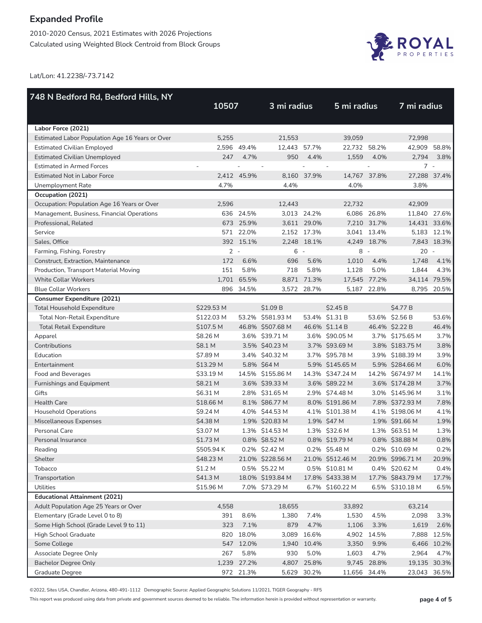2010-2020 Census, 2021 Estimates with 2026 Projections Calculated using Weighted Block Centroid from Block Groups



Lat/Lon: 41.2238/-73.7142

| 748 N Bedford Rd, Bedford Hills, NY             |            |             |                  |             |                  |             |                  |                          |
|-------------------------------------------------|------------|-------------|------------------|-------------|------------------|-------------|------------------|--------------------------|
|                                                 | 10507      |             | 3 mi radius      |             | 5 mi radius      |             | 7 mi radius      |                          |
|                                                 |            |             |                  |             |                  |             |                  |                          |
| Labor Force (2021)                              |            |             |                  |             |                  |             |                  |                          |
| Estimated Labor Population Age 16 Years or Over | 5,255      |             | 21,553           |             | 39,059           |             | 72,998           |                          |
| <b>Estimated Civilian Employed</b>              |            | 2.596 49.4% | 12,443 57.7%     |             | 22,732           | 58.2%       | 42,909 58.8%     |                          |
| <b>Estimated Civilian Unemployed</b>            | 247        | 4.7%        | 950              | 4.4%        | 1,559            | 4.0%        | 2,794            | 3.8%                     |
| <b>Estimated in Armed Forces</b>                |            |             |                  |             |                  |             | $7 -$            |                          |
| <b>Estimated Not in Labor Force</b>             |            | 2,412 45.9% |                  | 8,160 37.9% | 14,767 37.8%     |             | 27,288 37.4%     |                          |
| Unemployment Rate                               | 4.7%       |             | 4.4%             |             | 4.0%             |             | 3.8%             |                          |
| Occupation (2021)                               |            |             |                  |             |                  |             |                  |                          |
| Occupation: Population Age 16 Years or Over     | 2,596      |             | 12,443           |             | 22,732           |             | 42,909           |                          |
| Management, Business, Financial Operations      |            | 636 24.5%   |                  | 3,013 24.2% |                  | 6,086 26.8% | 11,840 27.6%     |                          |
| Professional, Related                           |            | 673 25.9%   |                  | 3,611 29.0% |                  | 7,210 31.7% | 14,431 33.6%     |                          |
| Service                                         |            | 571 22.0%   |                  | 2,152 17.3% |                  | 3,041 13.4% |                  | 5,183 12.1%              |
| Sales, Office                                   |            | 392 15.1%   |                  | 2,248 18.1% |                  | 4,249 18.7% |                  | 7,843 18.3%              |
| Farming, Fishing, Forestry                      | $2 -$      |             | $6 -$            |             | 8                | $\sim$      | 20               | $\overline{\phantom{a}}$ |
| Construct, Extraction, Maintenance              | 172        | 6.6%        | 696              | 5.6%        | 1.010            | 4.4%        | 1,748            | 4.1%                     |
| Production, Transport Material Moving           | 151        | 5.8%        | 718              | 5.8%        | 1,128            | 5.0%        | 1,844            | 4.3%                     |
| <b>White Collar Workers</b>                     |            | 1,701 65.5% |                  | 8,871 71.3% | 17,545 77.2%     |             | 34,114 79.5%     |                          |
| <b>Blue Collar Workers</b>                      |            | 896 34.5%   |                  | 3,572 28.7% | 5,187            | 22.8%       |                  | 8,795 20.5%              |
| <b>Consumer Expenditure (2021)</b>              |            |             |                  |             |                  |             |                  |                          |
| <b>Total Household Expenditure</b>              | \$229.53 M |             | \$1.09 B         |             | \$2.45B          |             | \$4.77 B         |                          |
| Total Non-Retail Expenditure                    | \$122.03 M |             | 53.2% \$581.93 M |             | 53.4% \$1.31 B   |             | 53.6% \$2.56 B   | 53.6%                    |
| <b>Total Retail Expenditure</b>                 | \$107.5 M  |             | 46.8% \$507.68 M |             | 46.6% \$1.14 B   |             | 46.4% \$2.22 B   | 46.4%                    |
| Apparel                                         | \$8.26 M   |             | 3.6% \$39.71 M   |             | 3.6% \$90.05 M   |             | 3.7% \$175.65 M  | 3.7%                     |
| Contributions                                   | \$8.1 M    |             | 3.5% \$40.23 M   |             | 3.7% \$93.69 M   |             | 3.8% \$183.75 M  | 3.8%                     |
| Education                                       | \$7.89 M   |             | 3.4% \$40.32 M   |             | 3.7% \$95.78 M   |             | 3.9% \$188.39 M  | 3.9%                     |
| Entertainment                                   | \$13.29 M  |             | 5.8% \$64 M      |             | 5.9% \$145.65 M  |             | 5.9% \$284.66 M  | 6.0%                     |
| Food and Beverages                              | \$33.19 M  |             | 14.5% \$155.86 M |             | 14.3% \$347.24 M |             | 14.2% \$674.97 M | 14.1%                    |
| Furnishings and Equipment                       | \$8.21 M   |             | 3.6% \$39.33 M   |             | 3.6% \$89.22 M   |             | 3.6% \$174.28 M  | 3.7%                     |
| Gifts                                           | \$6.31 M   |             | 2.8% \$31.65 M   |             | 2.9% \$74.48 M   |             | 3.0% \$145.96 M  | 3.1%                     |
| <b>Health Care</b>                              | \$18.66 M  |             | 8.1% \$86.77 M   |             | 8.0% \$191.86 M  |             | 7.8% \$372.93 M  | 7.8%                     |
| <b>Household Operations</b>                     | \$9.24 M   |             | 4.0% \$44.53 M   |             | 4.1% \$101.38 M  |             | 4.1% \$198.06 M  | 4.1%                     |
| Miscellaneous Expenses                          | \$4.38 M   |             | 1.9% \$20.83 M   |             | 1.9% \$47 M      |             | 1.9% \$91.66 M   | 1.9%                     |
| Personal Care                                   | \$3.07 M   |             | 1.3% \$14.53 M   |             | 1.3% \$32.6 M    |             | 1.3% \$63.51 M   | 1.3%                     |
| Personal Insurance                              | \$1.73 M   |             | 0.8% \$8.52 M    |             | 0.8% \$19.79 M   |             | 0.8% \$38.88 M   | 0.8%                     |
| Reading                                         | \$505.94 K |             | 0.2% \$2.42 M    |             | 0.2% \$5.48 M    |             | 0.2% \$10.69 M   | 0.2%                     |
| Shelter                                         | \$48.23 M  |             | 21.0% \$228.56 M |             | 21.0% \$512.46 M |             | 20.9% \$996.71 M | 20.9%                    |
| Tobacco                                         | \$1.2 M    |             | 0.5% \$5.22 M    |             | 0.5% \$10.81 M   |             | 0.4% \$20.62 M   | 0.4%                     |
| Transportation                                  | \$41.3 M   |             | 18.0% \$193.84 M |             | 17.8% \$433.38 M |             | 17.7% \$843.79 M | 17.7%                    |
| Utilities                                       | \$15.96 M  |             | 7.0% \$73.29 M   |             | 6.7% \$160.22 M  |             | 6.5% \$310.18 M  | 6.5%                     |
| <b>Educational Attainment (2021)</b>            |            |             |                  |             |                  |             |                  |                          |
| Adult Population Age 25 Years or Over           | 4,558      |             | 18,655           |             | 33,892           |             | 63,214           |                          |
| Elementary (Grade Level 0 to 8)                 | 391        | 8.6%        | 1,380            | 7.4%        | 1,530            | 4.5%        | 2,098            | 3.3%                     |
| Some High School (Grade Level 9 to 11)          | 323        | 7.1%        | 879              | 4.7%        | 1,106            | 3.3%        | 1,619            | 2.6%                     |
| High School Graduate                            | 820        | 18.0%       | 3,089            | 16.6%       | 4,902            | 14.5%       | 7,888            | 12.5%                    |
| Some College                                    |            | 547 12.0%   | 1,940            | 10.4%       | 3,350            | 9.9%        |                  | 6,466 10.2%              |
| Associate Degree Only                           | 267        | 5.8%        | 930              | 5.0%        | 1,603            | 4.7%        | 2,964            | 4.7%                     |
| <b>Bachelor Degree Only</b>                     | 1,239      | 27.2%       | 4,807            | 25.8%       | 9,745            | 28.8%       | 19,135 30.3%     |                          |
| Graduate Degree                                 |            | 972 21.3%   |                  | 5,629 30.2% | 11,656 34.4%     |             | 23,043 36.5%     |                          |

©2022, Sites USA, Chandler, Arizona, 480-491-1112 Demographic Source: Applied Geographic Solutions 11/2021, TIGER Geography - RF5

This report was produced using data from private and government sources deemed to be reliable. The information herein is provided without representation or warranty. **page 4 of 5**